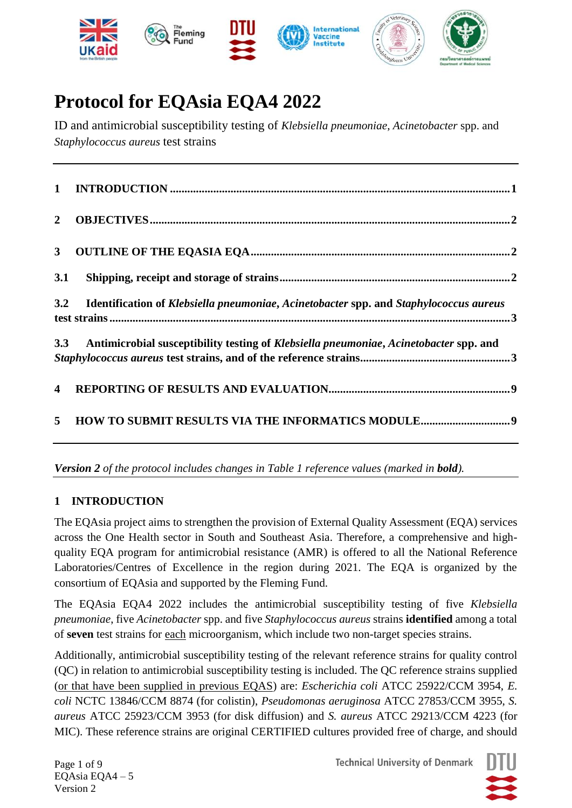

# **Protocol for EQAsia EQA4 2022**

ID and antimicrobial susceptibility testing of *Klebsiella pneumoniae*, *Acinetobacter* spp. and *Staphylococcus aureus* test strains

| $\overline{2}$          |                                                                                       |  |
|-------------------------|---------------------------------------------------------------------------------------|--|
| 3 <sup>7</sup>          |                                                                                       |  |
| 3.1                     |                                                                                       |  |
| 3.2                     | Identification of Klebsiella pneumoniae, Acinetobacter spp. and Staphylococcus aureus |  |
| 3.3                     | Antimicrobial susceptibility testing of Klebsiella pneumoniae, Acinetobacter spp. and |  |
| $\overline{\mathbf{4}}$ |                                                                                       |  |
| 5                       |                                                                                       |  |

*Version 2 of the protocol includes changes in Table 1 reference values (marked in bold).*

### <span id="page-0-0"></span>**1 INTRODUCTION**

The EQAsia project aims to strengthen the provision of External Quality Assessment (EQA) services across the One Health sector in South and Southeast Asia. Therefore, a comprehensive and highquality EQA program for antimicrobial resistance (AMR) is offered to all the National Reference Laboratories/Centres of Excellence in the region during 2021. The EQA is organized by the consortium of EQAsia and supported by the Fleming Fund.

The EQAsia EQA4 2022 includes the antimicrobial susceptibility testing of five *Klebsiella pneumoniae*, five *Acinetobacter* spp. and five *Staphylococcus aureus* strains **identified** among a total of **seven** test strains for each microorganism, which include two non-target species strains.

Additionally, antimicrobial susceptibility testing of the relevant reference strains for quality control (QC) in relation to antimicrobial susceptibility testing is included. The QC reference strains supplied (or that have been supplied in previous EQAS) are: *Escherichia coli* ATCC 25922/CCM 3954, *E. coli* NCTC 13846/CCM 8874 (for colistin), *Pseudomonas aeruginosa* ATCC 27853/CCM 3955, *S. aureus* ATCC 25923/CCM 3953 (for disk diffusion) and *S. aureus* ATCC 29213/CCM 4223 (for MIC). These reference strains are original CERTIFIED cultures provided free of charge, and should

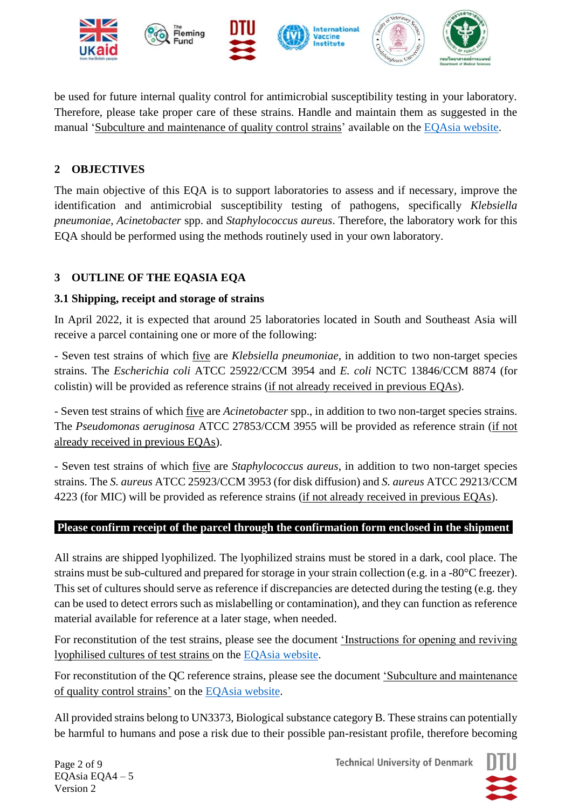

be used for future internal quality control for antimicrobial susceptibility testing in your laboratory. Therefore, please take proper care of these strains. Handle and maintain them as suggested in the manual 'Subculture and maintenance of quality control strains' available on the [EQAsia website.](https://antimicrobialresistance.dk/eqasia.aspx)

# <span id="page-1-0"></span>**2 OBJECTIVES**

The main objective of this EQA is to support laboratories to assess and if necessary, improve the identification and antimicrobial susceptibility testing of pathogens, specifically *Klebsiella pneumoniae*, *Acinetobacter* spp. and *Staphylococcus aureus*. Therefore, the laboratory work for this EQA should be performed using the methods routinely used in your own laboratory.

# <span id="page-1-1"></span>**3 OUTLINE OF THE EQASIA EQA**

### <span id="page-1-2"></span>**3.1 Shipping, receipt and storage of strains**

In April 2022, it is expected that around 25 laboratories located in South and Southeast Asia will receive a parcel containing one or more of the following:

- Seven test strains of which five are *Klebsiella pneumoniae*, in addition to two non-target species strains. The *Escherichia coli* ATCC 25922/CCM 3954 and *E. coli* NCTC 13846/CCM 8874 (for colistin) will be provided as reference strains (if not already received in previous EQAs).

- Seven test strains of which five are *Acinetobacter* spp., in addition to two non-target species strains. The *Pseudomonas aeruginosa* ATCC 27853/CCM 3955 will be provided as reference strain (if not already received in previous EQAs).

- Seven test strains of which five are *Staphylococcus aureus*, in addition to two non-target species strains. The *S. aureus* ATCC 25923/CCM 3953 (for disk diffusion) and *S. aureus* ATCC 29213/CCM 4223 (for MIC) will be provided as reference strains (if not already received in previous EQAs).

### **Please confirm receipt of the parcel through the confirmation form enclosed in the shipment.**

All strains are shipped lyophilized. The lyophilized strains must be stored in a dark, cool place. The strains must be sub-cultured and prepared for storage in your strain collection (e.g. in a -80°C freezer). This set of cultures should serve as reference if discrepancies are detected during the testing (e.g. they can be used to detect errors such as mislabelling or contamination), and they can function as reference material available for reference at a later stage, when needed.

For reconstitution of the test strains, please see the document 'Instructions for opening and reviving lyophilised cultures of test strains on the [EQAsia website.](https://antimicrobialresistance.dk/eqasia.aspx)

For reconstitution of the QC reference strains, please see the document 'Subculture and maintenance of quality control strains' on the [EQAsia website.](https://antimicrobialresistance.dk/eqasia.aspx)

All provided strains belong to UN3373, Biological substance category B. These strains can potentially be harmful to humans and pose a risk due to their possible pan-resistant profile, therefore becoming

Page 2 of 9 EQAsia EQA4 – 5 Version 2

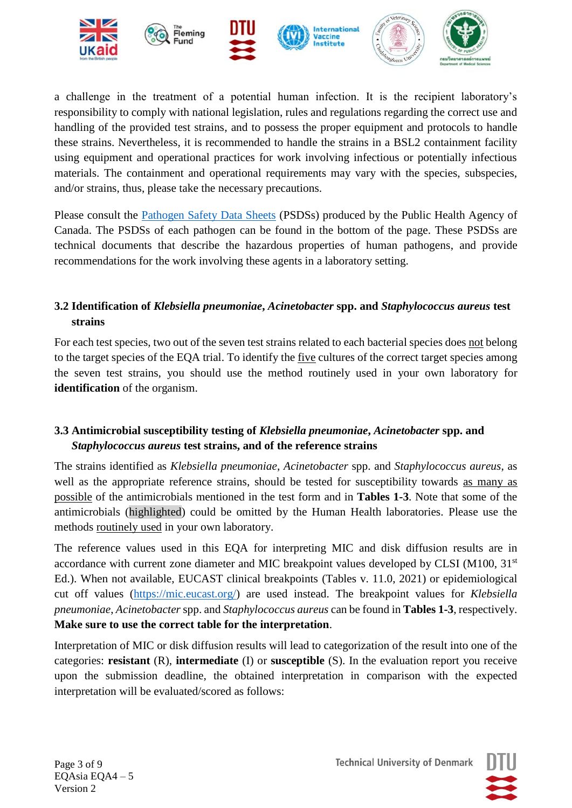

a challenge in the treatment of a potential human infection. It is the recipient laboratory's responsibility to comply with national legislation, rules and regulations regarding the correct use and handling of the provided test strains, and to possess the proper equipment and protocols to handle these strains. Nevertheless, it is recommended to handle the strains in a BSL2 containment facility using equipment and operational practices for work involving infectious or potentially infectious materials. The containment and operational requirements may vary with the species, subspecies, and/or strains, thus, please take the necessary precautions.

Please consult the [Pathogen Safety Data Sheets](https://www.canada.ca/en/public-health/services/laboratory-biosafety-biosecurity/pathogen-safety-data-sheets-risk-assessment.html) (PSDSs) produced by the Public Health Agency of Canada. The PSDSs of each pathogen can be found in the bottom of the page. These PSDSs are technical documents that describe the hazardous properties of human pathogens, and provide recommendations for the work involving these agents in a laboratory setting.

# <span id="page-2-0"></span>**3.2 Identification of** *Klebsiella pneumoniae***,** *Acinetobacter* **spp. and** *Staphylococcus aureus* **test strains**

For each test species, two out of the seven test strains related to each bacterial species does not belong to the target species of the EQA trial. To identify the five cultures of the correct target species among the seven test strains, you should use the method routinely used in your own laboratory for **identification** of the organism.

# <span id="page-2-1"></span>**3.3 Antimicrobial susceptibility testing of** *Klebsiella pneumoniae***,** *Acinetobacter* **spp. and** *Staphylococcus aureus* **test strains, and of the reference strains**

The strains identified as *Klebsiella pneumoniae*, *Acinetobacter* spp. and *Staphylococcus aureus*, as well as the appropriate reference strains, should be tested for susceptibility towards as many as possible of the antimicrobials mentioned in the test form and in **Tables 1-3**. Note that some of the antimicrobials (highlighted) could be omitted by the Human Health laboratories. Please use the methods routinely used in your own laboratory.

The reference values used in this EQA for interpreting MIC and disk diffusion results are in accordance with current zone diameter and MIC breakpoint values developed by CLSI (M100, 31<sup>st</sup>) Ed.). When not available, EUCAST clinical breakpoints (Tables v. 11.0, 2021) or epidemiological cut off values [\(https://mic.eucast.org/\)](https://mic.eucast.org/) are used instead. The breakpoint values for *Klebsiella pneumoniae*, *Acinetobacter* spp. and *Staphylococcus aureus* can be found in **Tables 1-3**, respectively. **Make sure to use the correct table for the interpretation**.

Interpretation of MIC or disk diffusion results will lead to categorization of the result into one of the categories: **resistant** (R), **intermediate** (I) or **susceptible** (S). In the evaluation report you receive upon the submission deadline, the obtained interpretation in comparison with the expected interpretation will be evaluated/scored as follows:

Page 3 of 9 EQAsia EQA4 – 5 Version 2

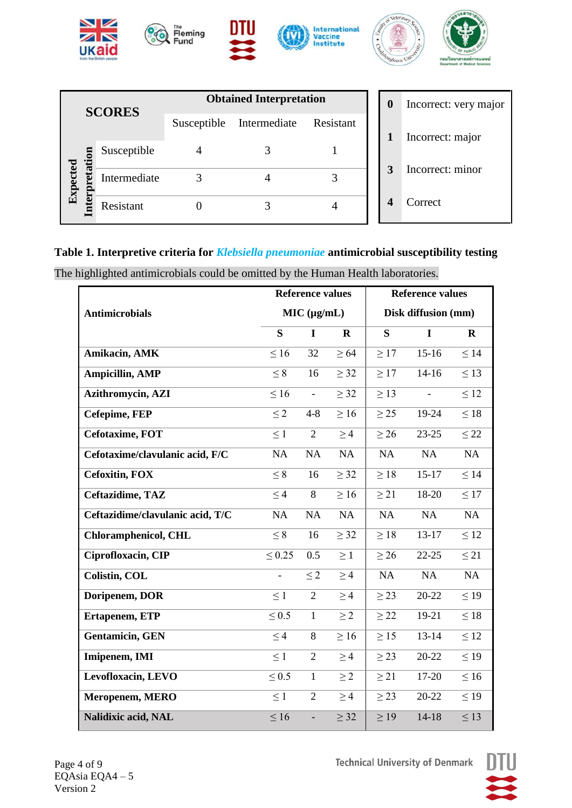



|                                  | <b>SCORES</b> | <b>Obtained Interpretation</b> |              |           |  |  |  |
|----------------------------------|---------------|--------------------------------|--------------|-----------|--|--|--|
|                                  |               | Susceptible                    | Intermediate | Resistant |  |  |  |
|                                  | Susceptible   |                                |              |           |  |  |  |
| $\mathop{\rm Expected}\nolimits$ | Intermediate  |                                |              |           |  |  |  |
|                                  | Resistant     |                                |              |           |  |  |  |

| 0     | Incorrect: very major |
|-------|-----------------------|
| $1^-$ | Incorrect: major      |
| 3     | Incorrect: minor      |
| 4     | Correct               |

# **Table 1. Interpretive criteria for** *Klebsiella pneumoniae* **antimicrobial susceptibility testing**

The highlighted antimicrobials could be omitted by the Human Health laboratories.

|                                  |             | <b>Reference values</b> |           | <b>Reference values</b> |             |             |  |
|----------------------------------|-------------|-------------------------|-----------|-------------------------|-------------|-------------|--|
| <b>Antimicrobials</b>            |             | MIC (µg/mL)             |           | Disk diffusion (mm)     |             |             |  |
|                                  | S           | I                       | $\bf R$   | S                       | $\mathbf I$ | $\mathbf R$ |  |
| Amikacin, AMK                    | $\leq 16$   | 32                      | $\geq 64$ | $\geq$ 17               | $15-16$     | $\leq$ 14   |  |
| <b>Ampicillin, AMP</b>           | $\leq 8$    | 16                      | $\geq$ 32 | $\geq$ 17               | $14-16$     | $\leq$ 13   |  |
| Azithromycin, AZI                | $\leq 16$   | $\equiv$                | $\geq$ 32 | $\geq$ 13               |             | $\leq 12$   |  |
| Cefepime, FEP                    | $\leq$ 2    | $4 - 8$                 | $\geq 16$ | $\geq$ 25               | 19-24       | $\leq 18$   |  |
| Cefotaxime, FOT                  | $\leq 1$    | $\overline{2}$          | $\geq$ 4  | $\geq$ 26               | $23 - 25$   | $\leq$ 22   |  |
| Cefotaxime/clavulanic acid, F/C  | NA          | NA                      | NA        | NA                      | NA          | NA          |  |
| <b>Cefoxitin, FOX</b>            | $\leq 8$    | 16                      | $\geq$ 32 | $\geq 18$               | $15 - 17$   | $\leq 14$   |  |
| Ceftazidime, TAZ                 | $\leq$ 4    | 8                       | $\geq 16$ | $\geq$ 21               | 18-20       | $\leq$ 17   |  |
| Ceftazidime/clavulanic acid, T/C | NA          | NA                      | NA        | NA                      | NA          | NA          |  |
| <b>Chloramphenicol, CHL</b>      | $\leq 8$    | 16                      | $\geq$ 32 | $\geq 18$               | $13-17$     | $\leq 12$   |  |
| Ciprofloxacin, CIP               | $\leq 0.25$ | 0.5                     | $\geq 1$  | $\geq$ 26               | $22 - 25$   | $\leq$ 21   |  |
| Colistin, COL                    |             | $\leq 2$                | $\geq 4$  | <b>NA</b>               | NA          | NA          |  |
| Doripenem, DOR                   | $\leq 1$    | $\overline{2}$          | $\geq 4$  | $\geq$ 23               | 20-22       | $\leq$ 19   |  |
| Ertapenem, ETP                   | $\leq 0.5$  | $\mathbf{1}$            | $\geq$ 2  | $\geq$ 22               | 19-21       | $\leq 18$   |  |
| <b>Gentamicin</b> , GEN          | $\leq 4$    | 8                       | $\geq 16$ | $\geq$ 15               | 13-14       | $\leq 12$   |  |
| Imipenem, IMI                    | $\leq 1$    | $\overline{2}$          | $\geq$ 4  | $\geq$ 23               | 20-22       | $\leq$ 19   |  |
| Levofloxacin, LEVO               | $\leq 0.5$  | $\mathbf{1}$            | $\geq$ 2  | $\geq$ 21               | 17-20       | $\leq 16$   |  |
| Meropenem, MERO                  | $\leq 1$    | $\overline{2}$          | $\geq 4$  | $\geq$ 23               | 20-22       | $\leq$ 19   |  |
| Nalidixic acid, NAL              | $\leq 16$   | ÷,                      | $\geq$ 32 | $\geq$ 19               | $14-18$     | $\leq 13$   |  |

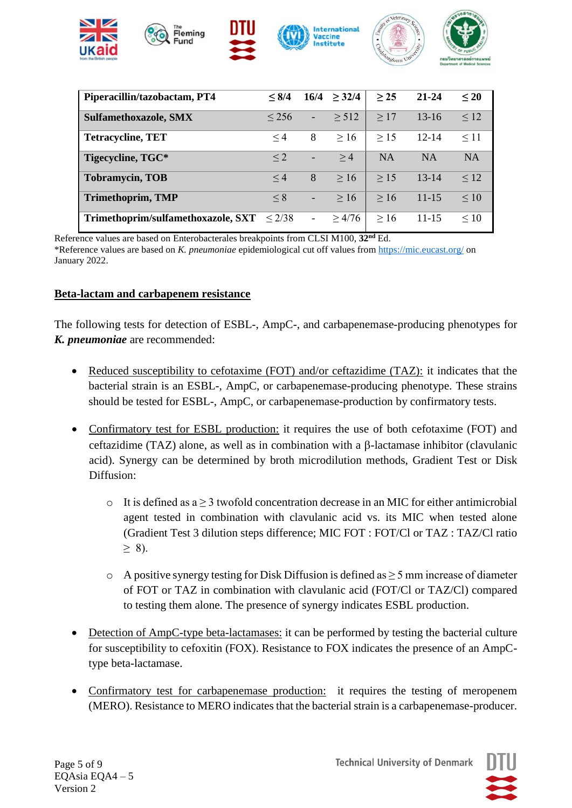

| Piperacillin/tazobactam, PT4                   | < 8/4    | 16/4                     | $\geq$ 32/4 | $\geq$ 25 | $21 - 24$ | $\leq 20$ |
|------------------------------------------------|----------|--------------------------|-------------|-----------|-----------|-----------|
| <b>Sulfamethoxazole, SMX</b>                   | < 256    | $\overline{\phantom{a}}$ | $\geq$ 512  | >17       | $13 - 16$ | $\leq 12$ |
| <b>Tetracycline, TET</b>                       | $\leq 4$ | 8                        | >16         | $\geq$ 15 | $12 - 14$ | $\leq$ 11 |
| Tigecycline, TGC*                              | $\leq$ 2 | -                        | >4          | <b>NA</b> | <b>NA</b> | <b>NA</b> |
| <b>Tobramycin, TOB</b>                         | $\leq 4$ | 8                        | $\geq 16$   | $\geq$ 15 | $13 - 14$ | $\leq 12$ |
| <b>Trimethoprim, TMP</b>                       | $\leq 8$ | $\overline{\phantom{a}}$ | $\geq 16$   | > 16      | $11 - 15$ | $\leq 10$ |
| Trimethoprim/sulfamethoxazole, SXT $\leq 2/38$ |          | $\blacksquare$           | >4/76       | $\geq 16$ | $11 - 15$ | $\leq 10$ |

Reference values are based on Enterobacterales breakpoints from CLSI M100, **32nd** Ed. \*Reference values are based on *K. pneumoniae* epidemiological cut off values from<https://mic.eucast.org/> on January 2022.

#### **Beta-lactam and carbapenem resistance**

The following tests for detection of ESBL-, AmpC-, and carbapenemase-producing phenotypes for *K. pneumoniae* are recommended:

- Reduced susceptibility to cefotaxime (FOT) and/or ceftazidime (TAZ): it indicates that the bacterial strain is an ESBL-, AmpC, or carbapenemase-producing phenotype. These strains should be tested for ESBL-, AmpC, or carbapenemase-production by confirmatory tests.
- Confirmatory test for ESBL production: it requires the use of both cefotaxime (FOT) and ceftazidime (TAZ) alone, as well as in combination with a  $\beta$ -lactamase inhibitor (clavulanic acid). Synergy can be determined by broth microdilution methods, Gradient Test or Disk Diffusion:
	- $\circ$  It is defined as a  $\geq$  3 twofold concentration decrease in an MIC for either antimicrobial agent tested in combination with clavulanic acid vs. its MIC when tested alone (Gradient Test 3 dilution steps difference; MIC FOT : FOT/Cl or TAZ : TAZ/Cl ratio  $> 8$ ).
	- $\circ$  A positive synergy testing for Disk Diffusion is defined as  $\geq$  5 mm increase of diameter of FOT or TAZ in combination with clavulanic acid (FOT/Cl or TAZ/Cl) compared to testing them alone. The presence of synergy indicates ESBL production.
- Detection of AmpC-type beta-lactamases: it can be performed by testing the bacterial culture for susceptibility to cefoxitin (FOX). Resistance to FOX indicates the presence of an AmpCtype beta-lactamase.
- Confirmatory test for carbapenemase production: it requires the testing of meropenem (MERO). Resistance to MERO indicates that the bacterial strain is a carbapenemase-producer.

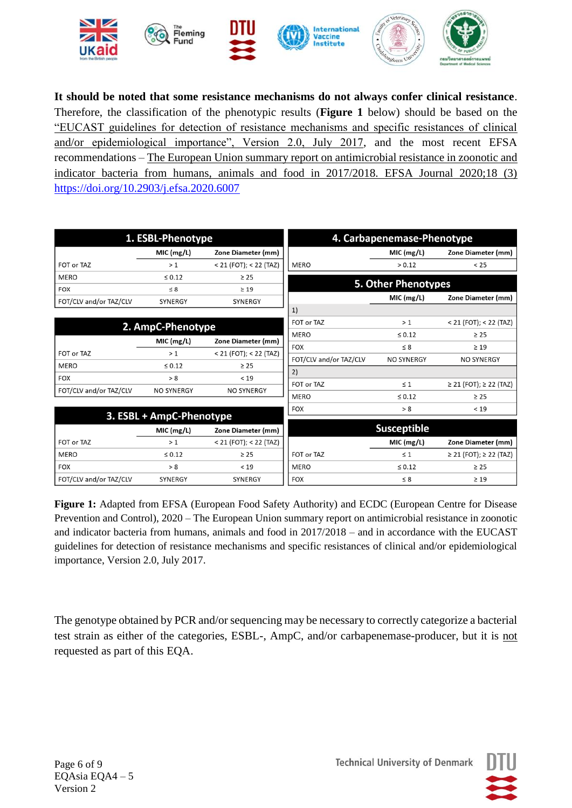

**It should be noted that some resistance mechanisms do not always confer clinical resistance**. Therefore, the classification of the phenotypic results (**Figure 1** below) should be based on the "EUCAST guidelines for detection of resistance mechanisms and specific resistances of clinical and/or epidemiological importance", Version 2.0, July 2017, and the most recent EFSA recommendations – The European Union summary report on antimicrobial resistance in zoonotic and indicator bacteria from humans, animals and food in 2017/2018. EFSA Journal 2020;18 (3) <https://doi.org/10.2903/j.efsa.2020.6007>

|                        | 1. ESBL-Phenotype        |                            |                        | 4. Carbapenemase-Phenotype |                            |
|------------------------|--------------------------|----------------------------|------------------------|----------------------------|----------------------------|
|                        | MIC (mg/L)               | Zone Diameter (mm)         |                        | MIC (mg/L)                 | Zone Diameter (mm)         |
| FOT or TAZ             | >1                       | $< 21$ (FOT); $< 22$ (TAZ) | <b>MERO</b>            | > 0.12                     | < 25                       |
| <b>MERO</b>            | $\leq 0.12$              | $\geq 25$                  |                        |                            |                            |
| <b>FOX</b>             | $\leq 8$                 | $\geq 19$                  |                        | 5. Other Phenotypes        |                            |
| FOT/CLV and/or TAZ/CLV | <b>SYNERGY</b>           | SYNERGY                    |                        | MIC (mg/L)                 | Zone Diameter (mm)         |
|                        |                          |                            | 1)                     |                            |                            |
|                        | 2. AmpC-Phenotype        |                            | FOT or TAZ             | >1                         | $< 21$ (FOT); $< 22$ (TAZ) |
|                        |                          |                            | <b>MERO</b>            | $\leq 0.12$                | $\geq$ 25                  |
|                        | MIC (mg/L)               | Zone Diameter (mm)         | <b>FOX</b>             | $\leq 8$                   | $\geq 19$                  |
| FOT or TAZ             | >1                       | $< 21$ (FOT); $< 22$ (TAZ) | FOT/CLV and/or TAZ/CLV | <b>NO SYNERGY</b>          | <b>NO SYNERGY</b>          |
| <b>MERO</b>            | $\leq 0.12$              | $\geq 25$                  | 2)                     |                            |                            |
| <b>FOX</b>             | > 8                      | < 19                       | FOT or TAZ             | $\leq 1$                   | ≥ 21 (FOT); ≥ 22 (TAZ)     |
| FOT/CLV and/or TAZ/CLV | <b>NO SYNERGY</b>        | <b>NO SYNERGY</b>          | <b>MERO</b>            | $\leq 0.12$                | $\geq 25$                  |
|                        |                          |                            | <b>FOX</b>             | > 8                        | < 19                       |
|                        | 3. ESBL + AmpC-Phenotype |                            |                        |                            |                            |
|                        | MIC (mg/L)               | Zone Diameter (mm)         |                        | <b>Susceptible</b>         |                            |
| FOT or TAZ             | >1                       | $< 21$ (FOT); $< 22$ (TAZ) |                        | MIC (mg/L)                 | Zone Diameter (mm)         |
| <b>MERO</b>            | $\leq 0.12$              | $\geq 25$                  | FOT or TAZ             | $\leq 1$                   | ≥ 21 (FOT); ≥ 22 (TAZ)     |
| <b>FOX</b>             | > 8                      | < 19                       | <b>MERO</b>            | $\leq 0.12$                | $\geq 25$                  |
| FOT/CLV and/or TAZ/CLV | SYNERGY                  | <b>SYNERGY</b>             | <b>FOX</b>             | $\leq 8$                   | $\geq 19$                  |

**Figure 1:** Adapted from EFSA (European Food Safety Authority) and ECDC (European Centre for Disease Prevention and Control), 2020 – The European Union summary report on antimicrobial resistance in zoonotic and indicator bacteria from humans, animals and food in 2017/2018 – and in accordance with the EUCAST guidelines for detection of resistance mechanisms and specific resistances of clinical and/or epidemiological importance, Version 2.0, July 2017.

The genotype obtained by PCR and/or sequencing may be necessary to correctly categorize a bacterial test strain as either of the categories, ESBL-, AmpC, and/or carbapenemase-producer, but it is not requested as part of this EQA.

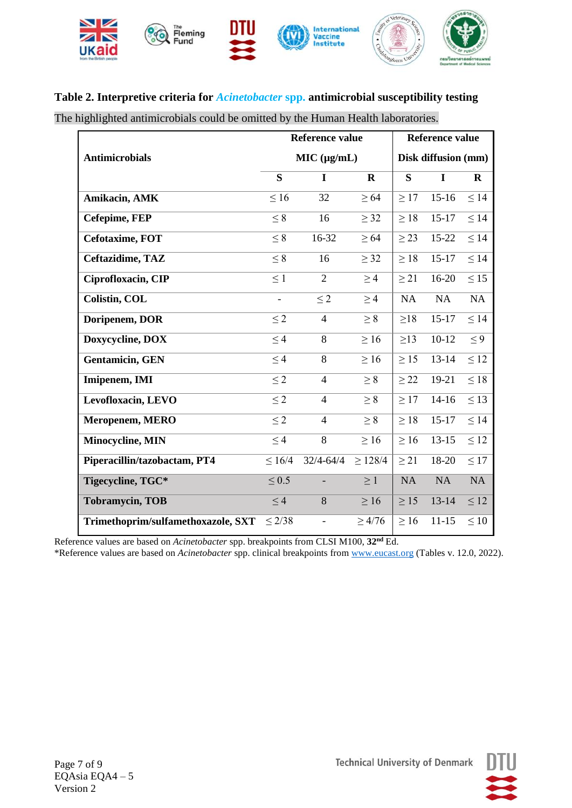

### **Table 2. Interpretive criteria for** *Acinetobacter* **spp. antimicrobial susceptibility testing**

The highlighted antimicrobials could be omitted by the Human Health laboratories.

|                                    |               | <b>Reference value</b>   | <b>Reference value</b> |                     |           |             |  |
|------------------------------------|---------------|--------------------------|------------------------|---------------------|-----------|-------------|--|
| <b>Antimicrobials</b>              |               | MIC (µg/mL)              |                        | Disk diffusion (mm) |           |             |  |
|                                    | S             | I                        | $\mathbf R$            | S                   | I         | $\mathbf R$ |  |
| Amikacin, AMK                      | $\leq 16$     | 32                       | $\geq 64$              | $\geq$ 17           | $15-16$   | $\leq$ 14   |  |
| Cefepime, FEP                      | $\leq 8$      | 16                       | $\geq$ 32              | $\geq 18$           | $15 - 17$ | $\leq 14$   |  |
| Cefotaxime, FOT                    | $\leq 8$      | 16-32                    | $\geq 64$              | $\geq$ 23           | 15-22     | $\leq 14$   |  |
| Ceftazidime, TAZ                   | $\leq 8$      | 16                       | $\geq$ 32              | $\geq 18$           | $15 - 17$ | $\leq 14$   |  |
| Ciprofloxacin, CIP                 | $\leq 1$      | $\overline{2}$           | $\geq$ 4               | $\geq$ 21           | 16-20     | $\leq 15$   |  |
| <b>Colistin, COL</b>               | $\frac{1}{2}$ | $\leq$ 2                 | $\geq$ 4               | NA                  | NA        | NA          |  |
| Doripenem, DOR                     | $\leq$ 2      | $\overline{4}$           | $\geq 8$               | $\geq$ 18           | $15 - 17$ | $\leq$ 14   |  |
| Doxycycline, DOX                   | $\leq 4$      | 8                        | $\geq 16$              | $\geq$ 13           | $10-12$   | $\leq 9$    |  |
| <b>Gentamicin</b> , GEN            | $\leq 4$      | 8                        | $\geq 16$              | $\geq$ 15           | $13 - 14$ | $\leq 12$   |  |
| Imipenem, IMI                      | $\leq$ 2      | $\overline{4}$           | $\geq 8$               | $\geq$ 22           | 19-21     | $\leq 18$   |  |
| Levofloxacin, LEVO                 | $\leq$ 2      | $\overline{4}$           | $\geq 8$               | $\geq$ 17           | $14-16$   | $\leq$ 13   |  |
| Meropenem, MERO                    | $\leq$ 2      | $\overline{4}$           | $\geq 8$               | $\geq 18$           | $15 - 17$ | $\leq 14$   |  |
| Minocycline, MIN                   | $\leq 4$      | 8                        | $\geq 16$              | $\geq 16$           | $13 - 15$ | $\leq 12$   |  |
| Piperacillin/tazobactam, PT4       | $\leq 16/4$   | $32/4 - 64/4$            | $\geq$ 128/4           | $\geq$ 21           | 18-20     | $\leq$ 17   |  |
| Tigecycline, TGC*                  | $\leq 0.5$    |                          | $\geq 1$               | NA                  | NA        | <b>NA</b>   |  |
| <b>Tobramycin, TOB</b>             | $\leq 4$      | 8                        | $\geq 16$              | $\geq$ 15           | $13 - 14$ | $\leq 12$   |  |
| Trimethoprim/sulfamethoxazole, SXT | $\leq$ 2/38   | $\overline{\phantom{0}}$ | $\geq 4/76$            | $\geq 16$           | $11 - 15$ | $\leq 10$   |  |

Reference values are based on *Acinetobacter* spp. breakpoints from CLSI M100, **32nd** Ed.

\*Reference values are based on *Acinetobacter* spp. clinical breakpoints from [www.eucast.org](http://www.eucast.org/) (Tables v. 12.0, 2022).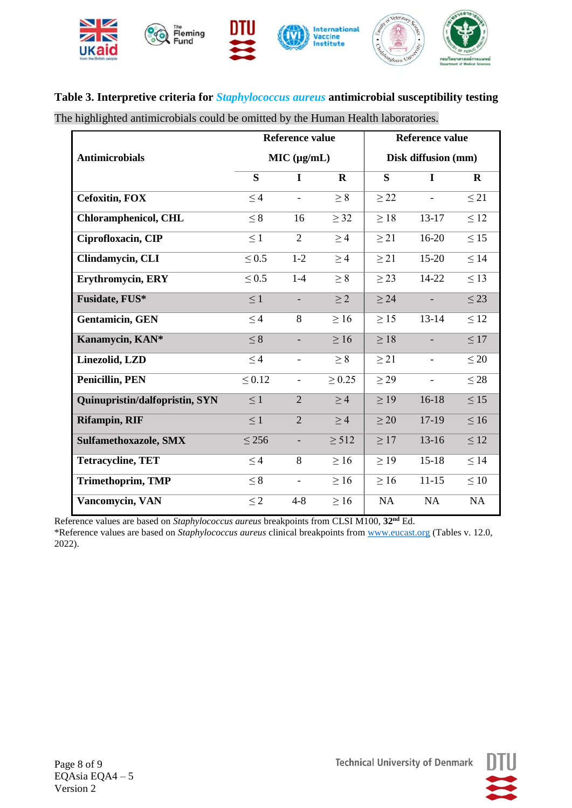

# **Table 3. Interpretive criteria for** *Staphylococcus aureus* **antimicrobial susceptibility testing**

The highlighted antimicrobials could be omitted by the Human Health laboratories.

|                                |             | <b>Reference value</b>   |              | <b>Reference value</b> |                          |              |  |
|--------------------------------|-------------|--------------------------|--------------|------------------------|--------------------------|--------------|--|
| <b>Antimicrobials</b>          |             | MIC (µg/mL)              |              | Disk diffusion (mm)    |                          |              |  |
|                                | S           | $\mathbf I$              | $\mathbf{R}$ | S                      | $\mathbf I$              | $\mathbf{R}$ |  |
| <b>Cefoxitin, FOX</b>          | $\leq 4$    | $\overline{a}$           | $\geq 8$     | $\geq$ 22              | $\overline{a}$           | $\leq$ 21    |  |
| <b>Chloramphenicol, CHL</b>    | $\leq 8$    | 16                       | $\geq$ 32    | $\geq 18$              | 13-17                    | $\leq 12$    |  |
| Ciprofloxacin, CIP             | $\leq 1$    | $\overline{2}$           | $\geq 4$     | $\geq$ 21              | 16-20                    | $\leq 15$    |  |
| Clindamycin, CLI               | $\leq 0.5$  | $1-2$                    | $\geq 4$     | $\geq$ 21              | $15-20$                  | $\leq 14$    |  |
| Erythromycin, ERY              | $\leq 0.5$  | $1-4$                    | $\geq 8$     | $\geq$ 23              | 14-22                    | $\leq 13$    |  |
| Fusidate, FUS*                 | $\leq 1$    | $\overline{\phantom{a}}$ | $\geq$ 2     | $\geq$ 24              | $\overline{\phantom{a}}$ | $\leq$ 23    |  |
| <b>Gentamicin</b> , GEN        | $\leq 4$    | 8                        | $\geq 16$    | $\geq$ 15              | $13 - 14$                | $\leq 12$    |  |
| Kanamycin, KAN*                | $\leq 8$    |                          | $\geq 16$    | $\geq 18$              |                          | $\leq 17$    |  |
| Linezolid, LZD                 | $\leq 4$    |                          | $\geq 8$     | $\geq$ 21              |                          | $\leq 20$    |  |
| <b>Penicillin, PEN</b>         | $\leq 0.12$ | $\overline{\phantom{a}}$ | $\geq 0.25$  | $\geq$ 29              | $\overline{\phantom{a}}$ | $\leq$ 28    |  |
| Quinupristin/dalfopristin, SYN | $\leq 1$    | $\overline{2}$           | $\geq 4$     | $\geq$ 19              | $16-18$                  | $\leq 15$    |  |
| <b>Rifampin, RIF</b>           | $\leq 1$    | $\overline{2}$           | $\geq 4$     | $\geq 20$              | 17-19                    | $\leq 16$    |  |
| <b>Sulfamethoxazole, SMX</b>   | $\leq$ 256  |                          | $\geq$ 512   | $\geq$ 17              | $13-16$                  | $\leq 12$    |  |
| <b>Tetracycline, TET</b>       | $\leq$ 4    | 8                        | $\geq 16$    | $\geq$ 19              | $15-18$                  | $\leq$ 14    |  |
| <b>Trimethoprim, TMP</b>       | $\leq 8$    | $\blacksquare$           | $\geq 16$    | $\geq 16$              | $11 - 15$                | $\leq 10$    |  |
| Vancomycin, VAN                | $\leq 2$    | $4 - 8$                  | $\geq 16$    | <b>NA</b>              | NA                       | NA           |  |

Reference values are based on *Staphylococcus aureus* breakpoints from CLSI M100, **32nd** Ed. \*Reference values are based on *Staphylococcus aureus* clinical breakpoints fro[m www.eucast.org](http://www.eucast.org/) (Tables v. 12.0, 2022).